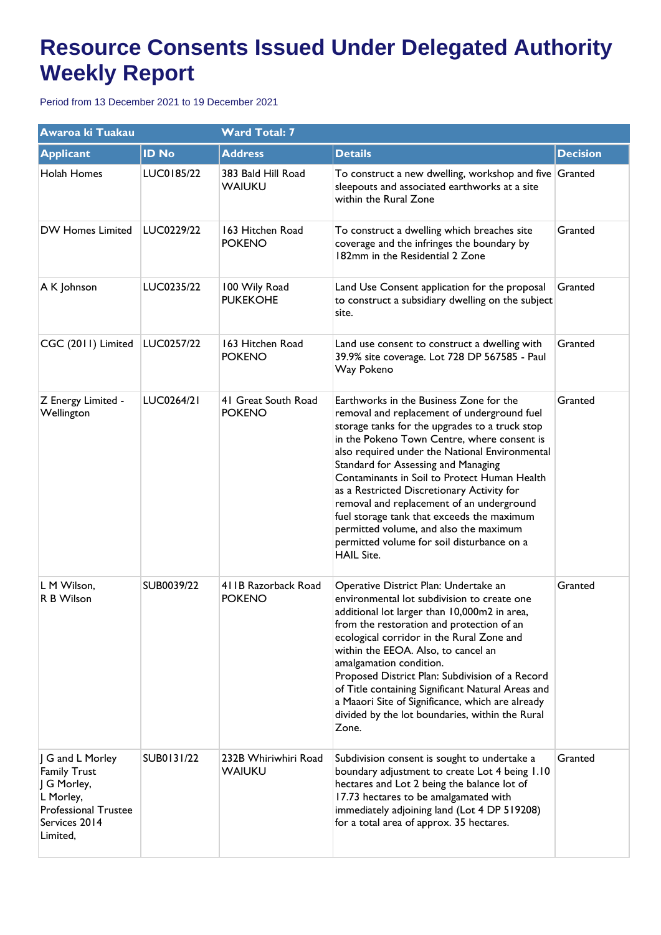| Awaroa ki Tuakau                                                                                                                |              | <b>Ward Total: 7</b>                 |                                                                                                                                                                                                                                                                                                                                                                                                                                                                                                                                                                                        |                 |  |
|---------------------------------------------------------------------------------------------------------------------------------|--------------|--------------------------------------|----------------------------------------------------------------------------------------------------------------------------------------------------------------------------------------------------------------------------------------------------------------------------------------------------------------------------------------------------------------------------------------------------------------------------------------------------------------------------------------------------------------------------------------------------------------------------------------|-----------------|--|
| <b>Applicant</b>                                                                                                                | <b>ID No</b> | <b>Address</b>                       | <b>Details</b>                                                                                                                                                                                                                                                                                                                                                                                                                                                                                                                                                                         | <b>Decision</b> |  |
| Holah Homes                                                                                                                     | LUC0185/22   | 383 Bald Hill Road<br>WAIUKU         | To construct a new dwelling, workshop and five Granted<br>sleepouts and associated earthworks at a site<br>within the Rural Zone                                                                                                                                                                                                                                                                                                                                                                                                                                                       |                 |  |
| <b>DW Homes Limited</b>                                                                                                         | LUC0229/22   | 163 Hitchen Road<br><b>POKENO</b>    | To construct a dwelling which breaches site<br>coverage and the infringes the boundary by<br>182mm in the Residential 2 Zone                                                                                                                                                                                                                                                                                                                                                                                                                                                           | Granted         |  |
| A K Johnson                                                                                                                     | LUC0235/22   | 100 Wily Road<br><b>PUKEKOHE</b>     | Land Use Consent application for the proposal<br>to construct a subsidiary dwelling on the subject<br>site.                                                                                                                                                                                                                                                                                                                                                                                                                                                                            | Granted         |  |
| CGC (2011) Limited                                                                                                              | LUC0257/22   | 163 Hitchen Road<br><b>POKENO</b>    | Land use consent to construct a dwelling with<br>39.9% site coverage. Lot 728 DP 567585 - Paul<br>Way Pokeno                                                                                                                                                                                                                                                                                                                                                                                                                                                                           | Granted         |  |
| Z Energy Limited -<br>Wellington                                                                                                | LUC0264/21   | 41 Great South Road<br><b>POKENO</b> | Earthworks in the Business Zone for the<br>removal and replacement of underground fuel<br>storage tanks for the upgrades to a truck stop<br>in the Pokeno Town Centre, where consent is<br>also required under the National Environmental<br>Standard for Assessing and Managing<br>Contaminants in Soil to Protect Human Health<br>as a Restricted Discretionary Activity for<br>removal and replacement of an underground<br>fuel storage tank that exceeds the maximum<br>permitted volume, and also the maximum<br>permitted volume for soil disturbance on a<br><b>HAIL Site.</b> | Granted         |  |
| L M Wilson,<br>R B Wilson                                                                                                       | SUB0039/22   | 411B Razorback Road<br><b>POKENO</b> | Operative District Plan: Undertake an<br>environmental lot subdivision to create one<br>additional lot larger than 10,000m2 in area,<br>from the restoration and protection of an<br>ecological corridor in the Rural Zone and<br>within the EEOA. Also, to cancel an<br>amalgamation condition.<br>Proposed District Plan: Subdivision of a Record<br>of Title containing Significant Natural Areas and<br>a Maaori Site of Significance, which are already<br>divided by the lot boundaries, within the Rural<br>Zone.                                                               | Granted         |  |
| J G and L Morley<br><b>Family Trust</b><br>J G Morley,<br>L Morley,<br><b>Professional Trustee</b><br>Services 2014<br>Limited, | SUB0131/22   | 232B Whiriwhiri Road<br>WAIUKU       | Subdivision consent is sought to undertake a<br>boundary adjustment to create Lot 4 being 1.10<br>hectares and Lot 2 being the balance lot of<br>17.73 hectares to be amalgamated with<br>immediately adjoining land (Lot 4 DP 519208)<br>for a total area of approx. 35 hectares.                                                                                                                                                                                                                                                                                                     | Granted         |  |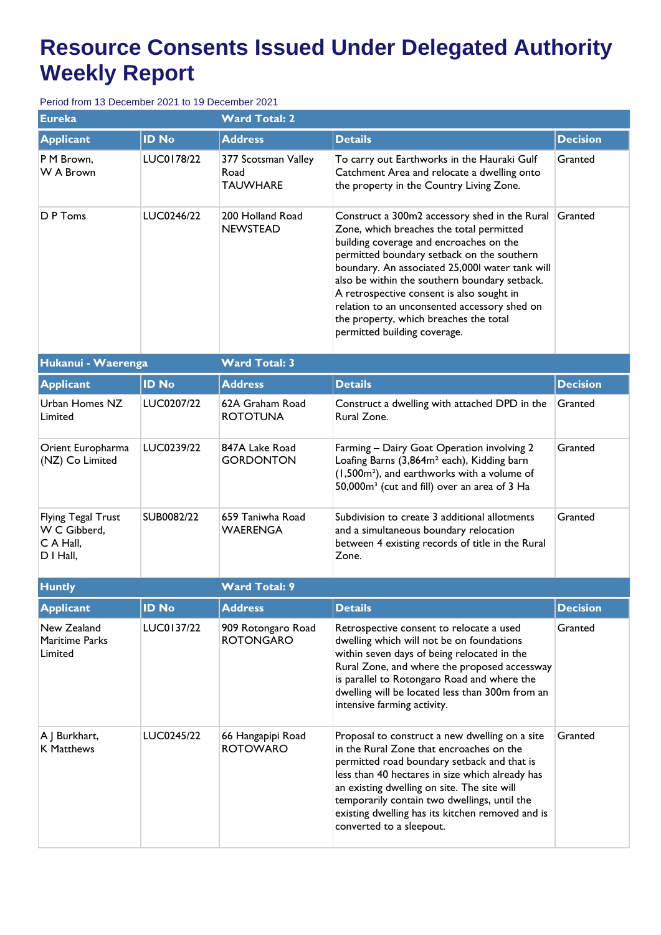| <b>Eureka</b>                                                       |              | <b>Ward Total: 2</b>                           |                                                                                                                                                                                                                                                                                                                                                                                                                                                               |                 |  |  |
|---------------------------------------------------------------------|--------------|------------------------------------------------|---------------------------------------------------------------------------------------------------------------------------------------------------------------------------------------------------------------------------------------------------------------------------------------------------------------------------------------------------------------------------------------------------------------------------------------------------------------|-----------------|--|--|
| <b>Applicant</b>                                                    | <b>ID No</b> | <b>Address</b>                                 | <b>Details</b>                                                                                                                                                                                                                                                                                                                                                                                                                                                | <b>Decision</b> |  |  |
| P M Brown,<br>W A Brown                                             | LUC0178/22   | 377 Scotsman Valley<br>Road<br><b>TAUWHARE</b> | To carry out Earthworks in the Hauraki Gulf<br>Catchment Area and relocate a dwelling onto<br>the property in the Country Living Zone.                                                                                                                                                                                                                                                                                                                        | Granted         |  |  |
| D P Toms                                                            | LUC0246/22   | 200 Holland Road<br><b>NEWSTEAD</b>            | Construct a 300m2 accessory shed in the Rural<br>Zone, which breaches the total permitted<br>building coverage and encroaches on the<br>permitted boundary setback on the southern<br>boundary. An associated 25,000l water tank will<br>also be within the southern boundary setback.<br>A retrospective consent is also sought in<br>relation to an unconsented accessory shed on<br>the property, which breaches the total<br>permitted building coverage. | Granted         |  |  |
| Hukanui - Waerenga                                                  |              | <b>Ward Total: 3</b>                           |                                                                                                                                                                                                                                                                                                                                                                                                                                                               |                 |  |  |
| <b>Applicant</b>                                                    | <b>ID No</b> | <b>Address</b>                                 | <b>Details</b>                                                                                                                                                                                                                                                                                                                                                                                                                                                | <b>Decision</b> |  |  |
| Urban Homes NZ<br>Limited                                           | LUC0207/22   | 62A Graham Road<br><b>ROTOTUNA</b>             | Construct a dwelling with attached DPD in the<br>Rural Zone.                                                                                                                                                                                                                                                                                                                                                                                                  | Granted         |  |  |
| Orient Europharma<br>(NZ) Co Limited                                | LUC0239/22   | 847A Lake Road<br><b>GORDONTON</b>             | Farming - Dairy Goat Operation involving 2<br>Loafing Barns (3,864m <sup>2</sup> each), Kidding barn<br>(1,500m <sup>2</sup> ), and earthworks with a volume of<br>50,000m <sup>3</sup> (cut and fill) over an area of 3 Ha                                                                                                                                                                                                                                   | Granted         |  |  |
| <b>Flying Tegal Trust</b><br>W C Gibberd,<br>C A Hall,<br>D I Hall, | SUB0082/22   | 659 Taniwha Road<br><b>WAERENGA</b>            | Subdivision to create 3 additional allotments<br>and a simultaneous boundary relocation<br>between 4 existing records of title in the Rural<br>Zone.                                                                                                                                                                                                                                                                                                          | Granted         |  |  |
| <b>Huntly</b>                                                       |              | <b>Ward Total: 9</b>                           |                                                                                                                                                                                                                                                                                                                                                                                                                                                               |                 |  |  |
| <b>Applicant</b>                                                    | <b>ID No</b> | <b>Address</b>                                 | <b>Details</b>                                                                                                                                                                                                                                                                                                                                                                                                                                                | <b>Decision</b> |  |  |
| New Zealand<br><b>Maritime Parks</b><br>Limited                     | LUC0137/22   | 909 Rotongaro Road<br><b>ROTONGARO</b>         | Retrospective consent to relocate a used<br>dwelling which will not be on foundations<br>within seven days of being relocated in the<br>Rural Zone, and where the proposed accessway<br>is parallel to Rotongaro Road and where the<br>dwelling will be located less than 300m from an<br>intensive farming activity.                                                                                                                                         | Granted         |  |  |
| A J Burkhart,<br><b>K Matthews</b>                                  | LUC0245/22   | 66 Hangapipi Road<br><b>ROTOWARO</b>           | Proposal to construct a new dwelling on a site<br>in the Rural Zone that encroaches on the<br>permitted road boundary setback and that is<br>less than 40 hectares in size which already has<br>an existing dwelling on site. The site will<br>temporarily contain two dwellings, until the<br>existing dwelling has its kitchen removed and is<br>converted to a sleepout.                                                                                   | Granted         |  |  |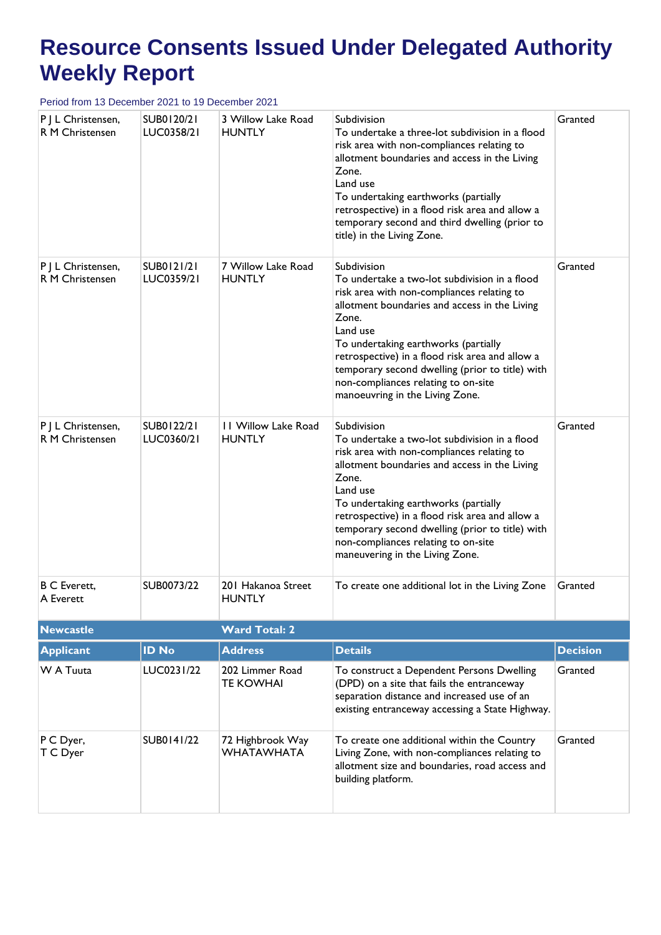| P J L Christensen,<br>R M Christensen | SUB0120/21<br>LUC0358/21 | 3 Willow Lake Road<br><b>HUNTLY</b>   | Subdivision<br>To undertake a three-lot subdivision in a flood<br>risk area with non-compliances relating to<br>allotment boundaries and access in the Living<br>Zone.<br>Land use<br>To undertaking earthworks (partially<br>retrospective) in a flood risk area and allow a<br>temporary second and third dwelling (prior to<br>title) in the Living Zone.                                             | Granted         |
|---------------------------------------|--------------------------|---------------------------------------|----------------------------------------------------------------------------------------------------------------------------------------------------------------------------------------------------------------------------------------------------------------------------------------------------------------------------------------------------------------------------------------------------------|-----------------|
| P J L Christensen,<br>R M Christensen | SUB0121/21<br>LUC0359/21 | 7 Willow Lake Road<br><b>HUNTLY</b>   | Subdivision<br>To undertake a two-lot subdivision in a flood<br>risk area with non-compliances relating to<br>allotment boundaries and access in the Living<br>Zone.<br>Land use<br>To undertaking earthworks (partially<br>retrospective) in a flood risk area and allow a<br>temporary second dwelling (prior to title) with<br>non-compliances relating to on-site<br>manoeuvring in the Living Zone. | Granted         |
| P J L Christensen,<br>R M Christensen | SUB0122/21<br>LUC0360/21 | 11 Willow Lake Road<br><b>HUNTLY</b>  | Subdivision<br>To undertake a two-lot subdivision in a flood<br>risk area with non-compliances relating to<br>allotment boundaries and access in the Living<br>Zone.<br>Land use<br>To undertaking earthworks (partially<br>retrospective) in a flood risk area and allow a<br>temporary second dwelling (prior to title) with<br>non-compliances relating to on-site<br>maneuvering in the Living Zone. | Granted         |
| <b>B C Everett,</b><br>A Everett      | SUB0073/22               | 201 Hakanoa Street<br><b>HUNTLY</b>   | To create one additional lot in the Living Zone                                                                                                                                                                                                                                                                                                                                                          | Granted         |
| <b>Newcastle</b>                      |                          | <b>Ward Total: 2</b>                  |                                                                                                                                                                                                                                                                                                                                                                                                          |                 |
| <b>Applicant</b>                      | <b>ID No</b>             | <b>Address</b>                        | <b>Details</b>                                                                                                                                                                                                                                                                                                                                                                                           | <b>Decision</b> |
| W A Tuuta                             | LUC0231/22               | 202 Limmer Road<br><b>TE KOWHAI</b>   | To construct a Dependent Persons Dwelling<br>(DPD) on a site that fails the entranceway<br>separation distance and increased use of an<br>existing entranceway accessing a State Highway.                                                                                                                                                                                                                | Granted         |
| P C Dyer,<br>T C Dyer                 | SUB0141/22               | 72 Highbrook Way<br><b>WHATAWHATA</b> | To create one additional within the Country<br>Living Zone, with non-compliances relating to<br>allotment size and boundaries, road access and<br>building platform.                                                                                                                                                                                                                                     | Granted         |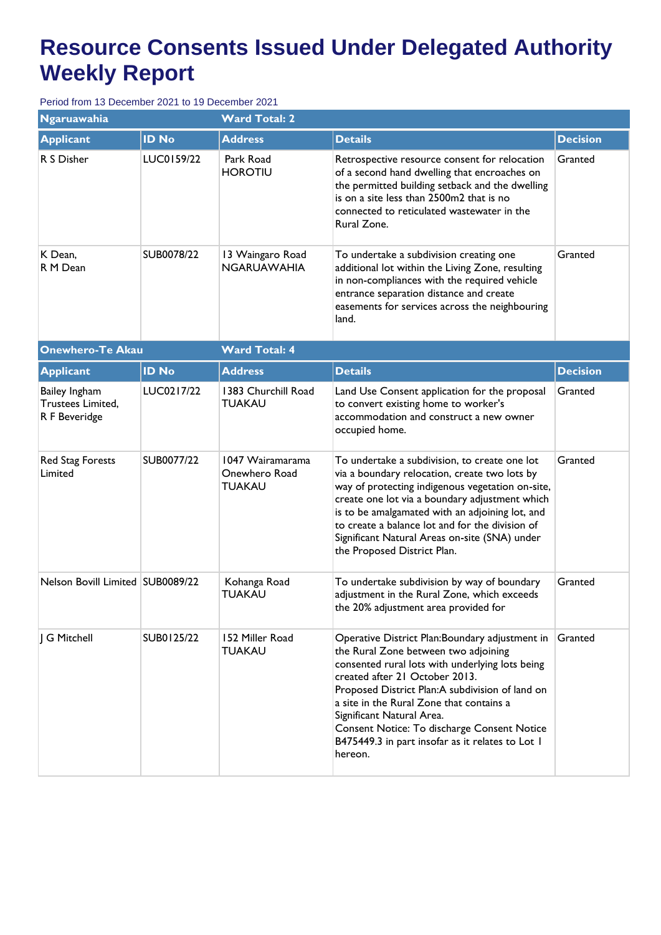| <b>Ngaruawahia</b>                                  |              | <b>Ward Total: 2</b>                               |                                                                                                                                                                                                                                                                                                                                                                                                                        |                 |  |
|-----------------------------------------------------|--------------|----------------------------------------------------|------------------------------------------------------------------------------------------------------------------------------------------------------------------------------------------------------------------------------------------------------------------------------------------------------------------------------------------------------------------------------------------------------------------------|-----------------|--|
| <b>Applicant</b>                                    | <b>ID No</b> | <b>Address</b>                                     | <b>Details</b>                                                                                                                                                                                                                                                                                                                                                                                                         | <b>Decision</b> |  |
| R S Disher                                          | LUC0159/22   | Park Road<br><b>HOROTIU</b>                        | Retrospective resource consent for relocation<br>of a second hand dwelling that encroaches on<br>the permitted building setback and the dwelling<br>is on a site less than 2500m2 that is no<br>connected to reticulated wastewater in the<br>Rural Zone.                                                                                                                                                              | Granted         |  |
| K Dean,<br>R M Dean                                 | SUB0078/22   | 13 Waingaro Road<br><b>NGARUAWAHIA</b>             | To undertake a subdivision creating one<br>additional lot within the Living Zone, resulting<br>in non-compliances with the required vehicle<br>entrance separation distance and create<br>easements for services across the neighbouring<br>land.                                                                                                                                                                      | Granted         |  |
| <b>Onewhero-Te Akau</b>                             |              | <b>Ward Total: 4</b>                               |                                                                                                                                                                                                                                                                                                                                                                                                                        |                 |  |
| <b>Applicant</b>                                    | <b>ID No</b> | <b>Address</b>                                     | <b>Details</b>                                                                                                                                                                                                                                                                                                                                                                                                         | <b>Decision</b> |  |
| Bailey Ingham<br>Trustees Limited,<br>R F Beveridge | LUC0217/22   | 1383 Churchill Road<br><b>TUAKAU</b>               | Land Use Consent application for the proposal<br>to convert existing home to worker's<br>accommodation and construct a new owner<br>occupied home.                                                                                                                                                                                                                                                                     | Granted         |  |
| Red Stag Forests<br>Limited                         | SUB0077/22   | 1047 Wairamarama<br>Onewhero Road<br><b>TUAKAU</b> | To undertake a subdivision, to create one lot<br>via a boundary relocation, create two lots by<br>way of protecting indigenous vegetation on-site,<br>create one lot via a boundary adjustment which<br>is to be amalgamated with an adjoining lot, and<br>to create a balance lot and for the division of<br>Significant Natural Areas on-site (SNA) under<br>the Proposed District Plan.                             | Granted         |  |
| Nelson Bovill Limited SUB0089/22                    |              | Kohanga Road<br><b>TUAKAU</b>                      | To undertake subdivision by way of boundary<br>adjustment in the Rural Zone, which exceeds<br>the 20% adjustment area provided for                                                                                                                                                                                                                                                                                     | Granted         |  |
| J G Mitchell                                        | SUB0125/22   | 152 Miller Road<br><b>TUAKAU</b>                   | Operative District Plan: Boundary adjustment in<br>the Rural Zone between two adjoining<br>consented rural lots with underlying lots being<br>created after 21 October 2013.<br>Proposed District Plan:A subdivision of land on<br>a site in the Rural Zone that contains a<br>Significant Natural Area.<br>Consent Notice: To discharge Consent Notice<br>B475449.3 in part insofar as it relates to Lot I<br>hereon. | Granted         |  |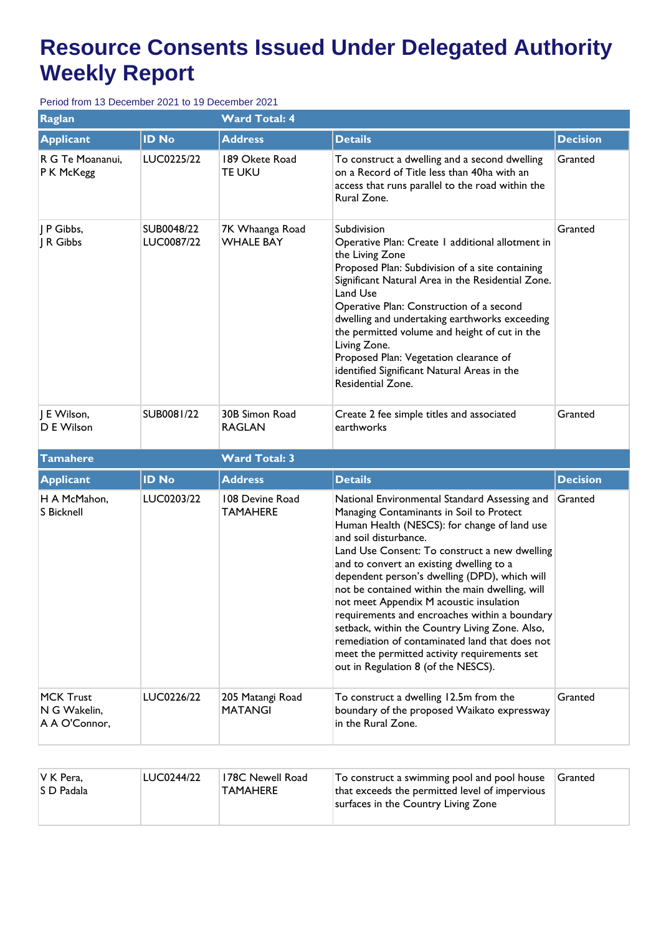| <b>Raglan</b>                                     |                          | <b>Ward Total: 4</b>                |                                                                                                                                                                                                                                                                                                                                                                                                                                                                                                                                                                                                                                                            |                 |  |
|---------------------------------------------------|--------------------------|-------------------------------------|------------------------------------------------------------------------------------------------------------------------------------------------------------------------------------------------------------------------------------------------------------------------------------------------------------------------------------------------------------------------------------------------------------------------------------------------------------------------------------------------------------------------------------------------------------------------------------------------------------------------------------------------------------|-----------------|--|
| <b>Applicant</b>                                  | <b>ID No</b>             | <b>Address</b>                      | <b>Details</b>                                                                                                                                                                                                                                                                                                                                                                                                                                                                                                                                                                                                                                             | <b>Decision</b> |  |
| R G Te Moananui,<br>P K McKegg                    | LUC0225/22               | 189 Okete Road<br>TE UKU            | To construct a dwelling and a second dwelling<br>on a Record of Title less than 40ha with an<br>access that runs parallel to the road within the<br>Rural Zone.                                                                                                                                                                                                                                                                                                                                                                                                                                                                                            | Granted         |  |
| P Gibbs,<br>  R Gibbs                             | SUB0048/22<br>LUC0087/22 | 7K Whaanga Road<br><b>WHALE BAY</b> | Subdivision<br>Operative Plan: Create I additional allotment in<br>the Living Zone<br>Proposed Plan: Subdivision of a site containing<br>Significant Natural Area in the Residential Zone.<br>Land Use<br>Operative Plan: Construction of a second<br>dwelling and undertaking earthworks exceeding<br>the permitted volume and height of cut in the<br>Living Zone.<br>Proposed Plan: Vegetation clearance of<br>identified Significant Natural Areas in the<br>Residential Zone.                                                                                                                                                                         | Granted         |  |
| J E Wilson,<br>D E Wilson                         | SUB0081/22               | 30B Simon Road<br><b>RAGLAN</b>     | Create 2 fee simple titles and associated<br>earthworks                                                                                                                                                                                                                                                                                                                                                                                                                                                                                                                                                                                                    | Granted         |  |
| Tamahere                                          |                          | <b>Ward Total: 3</b>                |                                                                                                                                                                                                                                                                                                                                                                                                                                                                                                                                                                                                                                                            |                 |  |
| <b>Applicant</b>                                  | <b>ID No</b>             | <b>Address</b>                      | <b>Details</b>                                                                                                                                                                                                                                                                                                                                                                                                                                                                                                                                                                                                                                             | <b>Decision</b> |  |
| H A McMahon,<br><b>S</b> Bicknell                 | LUC0203/22               | 108 Devine Road<br><b>TAMAHERE</b>  | National Environmental Standard Assessing and<br>Managing Contaminants in Soil to Protect<br>Human Health (NESCS): for change of land use<br>and soil disturbance.<br>Land Use Consent: To construct a new dwelling<br>and to convert an existing dwelling to a<br>dependent person's dwelling (DPD), which will<br>not be contained within the main dwelling, will<br>not meet Appendix M acoustic insulation<br>requirements and encroaches within a boundary<br>setback, within the Country Living Zone. Also,<br>remediation of contaminated land that does not<br>meet the permitted activity requirements set<br>out in Regulation 8 (of the NESCS). | Granted         |  |
| <b>MCK Trust</b><br>N G Wakelin,<br>A A O'Connor, | LUC0226/22               | 205 Matangi Road<br><b>MATANGI</b>  | To construct a dwelling 12.5m from the<br>boundary of the proposed Waikato expressway<br>in the Rural Zone.                                                                                                                                                                                                                                                                                                                                                                                                                                                                                                                                                | Granted         |  |

| $ V K$ Pera,<br>LUC0244/22<br>178C Newell Road<br><b>S</b> D Padala<br><b>TAMAHERE</b> | To construct a swimming pool and pool house<br>that exceeds the permitted level of impervious<br>surfaces in the Country Living Zone | Granted |
|----------------------------------------------------------------------------------------|--------------------------------------------------------------------------------------------------------------------------------------|---------|
|----------------------------------------------------------------------------------------|--------------------------------------------------------------------------------------------------------------------------------------|---------|